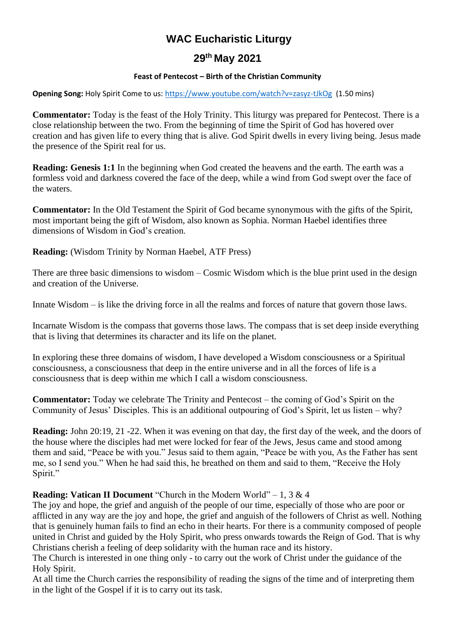# **WAC Eucharistic Liturgy**

## **29 th May 2021**

### **Feast of Pentecost – Birth of the Christian Community**

**Opening Song:** Holy Spirit Come to us:<https://www.youtube.com/watch?v=zasyz-tJkOg>(1.50 mins)

**Commentator:** Today is the feast of the Holy Trinity. This liturgy was prepared for Pentecost. There is a close relationship between the two. From the beginning of time the Spirit of God has hovered over creation and has given life to every thing that is alive. God Spirit dwells in every living being. Jesus made the presence of the Spirit real for us.

**Reading: Genesis 1:1** In the beginning when God created the heavens and the earth. The earth was a formless void and darkness covered the face of the deep, while a wind from God swept over the face of the waters.

**Commentator:** In the Old Testament the Spirit of God became synonymous with the gifts of the Spirit, most important being the gift of Wisdom, also known as Sophia. Norman Haebel identifies three dimensions of Wisdom in God's creation.

**Reading:** (Wisdom Trinity by Norman Haebel, ATF Press)

There are three basic dimensions to wisdom – Cosmic Wisdom which is the blue print used in the design and creation of the Universe.

Innate Wisdom – is like the driving force in all the realms and forces of nature that govern those laws.

Incarnate Wisdom is the compass that governs those laws. The compass that is set deep inside everything that is living that determines its character and its life on the planet.

In exploring these three domains of wisdom, I have developed a Wisdom consciousness or a Spiritual consciousness, a consciousness that deep in the entire universe and in all the forces of life is a consciousness that is deep within me which I call a wisdom consciousness.

**Commentator:** Today we celebrate The Trinity and Pentecost – the coming of God's Spirit on the Community of Jesus' Disciples. This is an additional outpouring of God's Spirit, let us listen – why?

**Reading:** John 20:19, 21 -22. When it was evening on that day, the first day of the week, and the doors of the house where the disciples had met were locked for fear of the Jews, Jesus came and stood among them and said, "Peace be with you." Jesus said to them again, "Peace be with you, As the Father has sent me, so I send you." When he had said this, he breathed on them and said to them, "Receive the Holy Spirit."

## **Reading: Vatican II Document** "Church in the Modern World" – 1, 3 & 4

The joy and hope, the grief and anguish of the people of our time, especially of those who are poor or afflicted in any way are the joy and hope, the grief and anguish of the followers of Christ as well. Nothing that is genuinely human fails to find an echo in their hearts. For there is a community composed of people united in Christ and guided by the Holy Spirit, who press onwards towards the Reign of God. That is why Christians cherish a feeling of deep solidarity with the human race and its history.

The Church is interested in one thing only - to carry out the work of Christ under the guidance of the Holy Spirit.

At all time the Church carries the responsibility of reading the signs of the time and of interpreting them in the light of the Gospel if it is to carry out its task.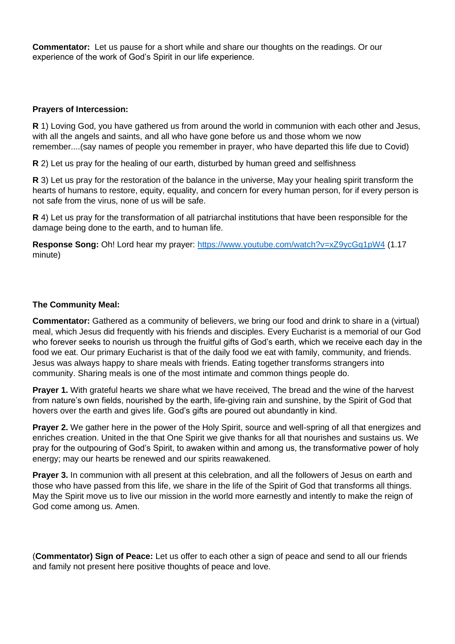**Commentator:** Let us pause for a short while and share our thoughts on the readings. Or our experience of the work of God's Spirit in our life experience.

#### **Prayers of Intercession:**

**R** 1) Loving God, you have gathered us from around the world in communion with each other and Jesus, with all the angels and saints, and all who have gone before us and those whom we now remember....(say names of people you remember in prayer, who have departed this life due to Covid)

**R** 2) Let us pray for the healing of our earth, disturbed by human greed and selfishness

**R** 3) Let us pray for the restoration of the balance in the universe, May your healing spirit transform the hearts of humans to restore, equity, equality, and concern for every human person, for if every person is not safe from the virus, none of us will be safe.

**R** 4) Let us pray for the transformation of all patriarchal institutions that have been responsible for the damage being done to the earth, and to human life.

**Response Song:** Oh! Lord hear my prayer:<https://www.youtube.com/watch?v=xZ9ycGq1pW4> (1.17 minute)

#### **The Community Meal:**

**Commentator:** Gathered as a community of believers, we bring our food and drink to share in a (virtual) meal, which Jesus did frequently with his friends and disciples. Every Eucharist is a memorial of our God who forever seeks to nourish us through the fruitful gifts of God's earth, which we receive each day in the food we eat. Our primary Eucharist is that of the daily food we eat with family, community, and friends. Jesus was always happy to share meals with friends. Eating together transforms strangers into community. Sharing meals is one of the most intimate and common things people do.

**Prayer 1.** With grateful hearts we share what we have received, The bread and the wine of the harvest from nature's own fields, nourished by the earth, life-giving rain and sunshine, by the Spirit of God that hovers over the earth and gives life. God's gifts are poured out abundantly in kind.

**Prayer 2.** We gather here in the power of the Holy Spirit, source and well-spring of all that energizes and enriches creation. United in the that One Spirit we give thanks for all that nourishes and sustains us. We pray for the outpouring of God's Spirit, to awaken within and among us, the transformative power of holy energy; may our hearts be renewed and our spirits reawakened.

**Prayer 3.** In communion with all present at this celebration, and all the followers of Jesus on earth and those who have passed from this life, we share in the life of the Spirit of God that transforms all things. May the Spirit move us to live our mission in the world more earnestly and intently to make the reign of God come among us. Amen.

(**Commentator) Sign of Peace:** Let us offer to each other a sign of peace and send to all our friends and family not present here positive thoughts of peace and love.